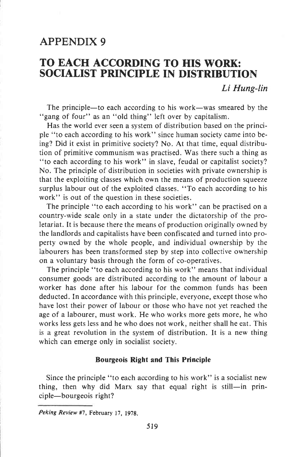## APPENDIX 9

# TO EACH ACCORDING TO HIS WORK: SOCIALIST PRINCIPLE IN DISTRIBUTION

Li Hung-lin

The principle—to each according to his work—was smeared by the "gang of four" as an "old thing" left over by capitalism.

Has the world ever seen a system of distribution based on the principle "to each according to his work" since human society came into being? Did it exist in primitive society? No. At that time, equal distribution of primitive communism was practised. Was there such a thing as "to each according to his work" in slave, feudal or capitalist society? No. The principle of distribution in societies with private ownership is that the exploiting classes which own the means of production squeeze surplus labour out of the exploited classes. "To each according to his work" is out of the question in these societies.

The principle "to each according to his work" can be practised on a country-wide scale only in a state under the dictatorship of the proletariat. It is because there the means of production originally owned by the landlords and capitalists have been confiscated and turned into property owned by the whole people, and individual ownership by the labourers has been transformed step by step into collective owhership on a voluntary basis through the form of co-operatives.

The principle "to each according to his work" means that individual consumer goods are distributed according to the amount of labour <sup>a</sup> worker has done after his labour for the common funds has been deducted. In accordance with this principle, everyone, except those who have lost their power of labour or those who have not yet reached the age of a labourer, must work. He who works more gets more, he who works less gets less and he who does not work, neither shall he eat. This is a great revolution in the system of distribution. It is a new thing which can emerge only in socialist society.

### Bourgeois Right and This Principle

Since the principle "to each according to his work" is a socialist new thing, then why did Marx say that equal right is still-in principle-bourgeois right?

Peking Review #7, February 17, 1978.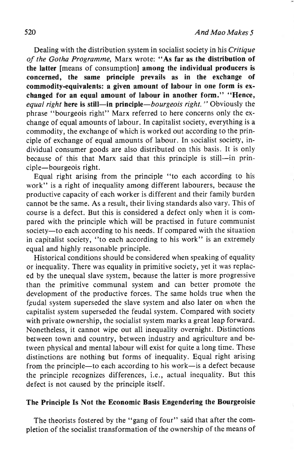Dealing with the distribution system in socialist society in his Critique of the Gotha Programme, Marx wrote: "As far as the distribution of the latter [means of consumption] among the individual producers is concerned, the same principle prevails as in the exchange of commodity-equivalents: a given amount of labour in one form is exchanged for an equal amount of labour in another form." "Hence, equal right here is still-in principle-bourgeois right." Obviously the phrase "bourgeois right" Marx referred to here concerns only the exchange of equal amounts of labour. In capitalist society, everything is a commodity, the exchange of which is worked out according to the principle of exchange of equal amounts of labour. In socialist society, individual consumer goods are also distributed on this basis. It is only because of this that Marx said that this principle is still—in principle-bourgeois right.

Equal right arising from the principle "to each according to his work" is a right of inequality among different labourers, because the productive capacity of each worker is different and their family burden cannot be the same. As a result, their living standards also vary. This of course is a defect. But this is considered a defect only when it is compared with the principle which will be practised in future communist society-to each according to his needs. If compared with the situation in capitalist society, "to each according to his work" is an extremely equal and highly reasonable principle.

Historical conditions should be considered when speaking of equality or inequality. There was equality in primitive society, yet it was replaced by the unequal slave system, because the latter is more progressive than the primitive communal system and can better promote the development of the productive forces. The same holds true when the feudal system superseded the slave system and also later on when the capitalist system superseded the feudal system. Compared with society with private ownership, the socialist system marks a great leap forward. Nonetheless, it cannot wipe out all inequality overnight. Distinctions between town and country, between industry and agriculture and between physical and mental labour will exist for quite a long time. These distinctions are nothing but forms of inequality. Equal right arising from the principle-to each according to his work-is a defect because the principle recognizes differences, i.e., actual inequality. But this defect is not caused by the principle itself.

#### The Principle Is Not the Economic Basis Engendering the Bourgeoisie

The theorists fostered by the "gang of four" said that after the completion of the socialist transformation of the ownership of the means of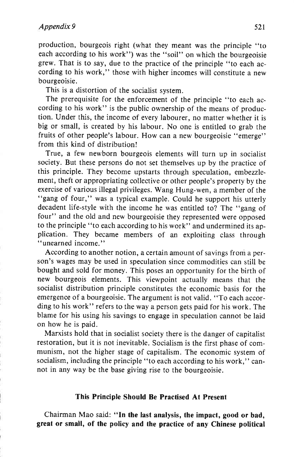production, bourgeois right (what they meant was the principle "to each according to his work") was the "soil" on which the bourgeoisie grew. That is to say, due to the practice of the principle "to each according to his work," those with higher incomes will constitute a new bourgeoisie.

This is a distortion of the socialist system.

The prerequisite for the enforcement of the principle "to each according to his work" is the public ownership of the means of production. Under this, the income of every labourer, no matter whether it is big or small, is created by his labour. No one is entitled to grab the fruits of other people's labour. How can a new bourgeoisie "emerge" from this kind of distribution!

True, a few newborn bourgeois elements will turn up in socialist society. But these persons do not set themselves up by the practice of this principle. They become upstarts through speculation, embezzlement, theft or appropriating collective or other people's property by the exercise of various illegal privileges. Wang Hung-wen, a member of the "gang of four," was a typical example. Could he support his utterly decadent life-style with the income he was entitled to? The "gang of four" and the old and new bourgeoisie they represented were opposed to the principle "to each according to his work" and undermined its application. They became members of an exploiting class through "unearned income."

According to another notion, a certain amount of savings from a person's wages may be used in speculation since commodities can still be bought and sold for money. This poses an opportunity for the birth of new bourgeois elements. This viewpoint actually means that the socialist distribution principle constitutes the economic basis for the emergence of a bourgeoisie. The argument is not valid. "To each according to his work" refers to the way a person gets paid for his work. The blame for his using his savings to engage in speculation cannot be laid on how he is paid.

Marxists hold that in socialist society there is the danger of capitalist restoration, but it is not inevitable. Socialism is the first phase of communism, not the higher stage of capitalism. The economic system of socialism, including the principle "to each according to his work," cannot in any way be the base giving rise to the bourgeoisie.

### This Principle Should Be Practised At Present

Chairman Mao said: "In the last analysis, the impact, good or bad, great or snnall, of the policy and the practice of any Chinese political